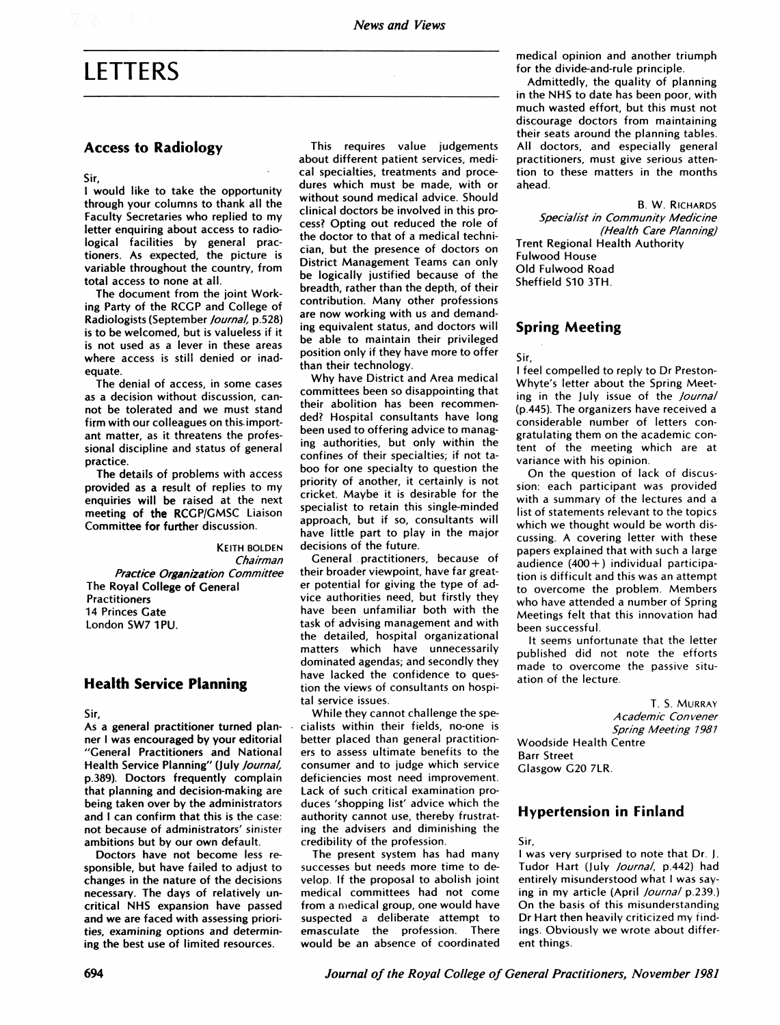# LETTERS

## Access to Radiology

Sir,

<sup>I</sup> would like to take the opportunity through your columns to thank all the Faculty Secretaries who replied to my letter enquiring about access to radiological facilities by general practioners. As expected, the picture is variable throughout the country, from total access to none at all.

The document from the joint Working Party of the RCGP and College of Radiologists (September Journal, p.528) is to be welcomed, but is valueless if it is not used as a lever in these areas where access is still denied or inadequate.

The denial of access, in some cases as a decision without discussion, cannot be tolerated and we must stand firm with our colleagues on this. important matter, as it threatens the professional discipline and status of general practice.

The details of problems with access provided as a result of replies to my enquiries will be raised at the next meeting of the RCGP/GMSC Liaison Committee for further discussion.

KEITH BOLDEN Chairman Practice Organization Committee The Royal College of General Practitioners 14 Princes Gate London SW7 1PU.

# Health Service Planning

Sir,

As a general practitioner turned planner <sup>I</sup> was encouraged by your editorial "General Practitioners and National Health Service Planning" (July Journal, p.389). Doctors frequently complain that planning and decision-making are being taken over by the administrators and <sup>I</sup> can confirm that this is the case: not because of administrators' sinister ambitions but by our own default.

Doctors have not become less responsible, but have failed to adjust to changes in the nature of the decisions necessary. The days of relatively uncritical NHS expansion have passed and we are faced with assessing priorities, examining options and determining the best use of limited resources.

This requires value judgements about different patient services, medical specialties, treatments and procedures which must be made, with or without sound medical advice. Should clinical doctors be involved in this process? Opting out reduced the role of the doctor to that of a medical technician, but the presence of doctors on District Management Teams can only be logically justified because of the breadth, rather than the depth, of their contribution. Many other professions are now working with us and demanding equivalent status, and doctors will be able to maintain their privileged position only if they have more to offer than their technology.

Why have District and Area medical committees been so disappointing that their abolition has been recommended? Hospital consultants have long been used to offering advice to managing authorities, but only within the confines of their specialties; if not taboo for one specialty to question the priority of another, it certainly is not cricket. Maybe it is desirable for the specialist to retain this single-minded approach, but if so, consultants will have little part to play in the major decisions of the future.

General practitioners, because of their broader viewpoint, have far greater potential for giving the type of advice authorities need, but firstly they have been unfamiliar both with the task of advising management and with the detailed, hospital organizational matters which have unnecessarily dominated agendas; and secondly they have lacked the confidence to question the views of consultants on hospital service issues.

While they cannot challenge the specialists within their fields, no-one is better placed than general practitioners to assess ultimate benefits to the consumer and to judge which service deficiencies most need improvement. Lack of such critical examination produces 'shopping list' advice which the authority cannot use, thereby frustrating the advisers and diminishing the credibility of the profession.

The present system has had many successes but needs more time to develop. If the proposal to abolish joint medical committees had not come from a medical group, one would have suspected a deliberate attempt to<br>emasculate the profession There emasculate the profession. would be an absence of coordinated

medical opinion and another triumph for the divide-and-rule principle.

Admittedly, the quality of planning in the NHS to date has been poor, with much wasted effort, but this must not discourage doctors from maintaining their seats around the planning tables. All doctors, and especially general practitioners, must give serious attention to these matters in the months ahead.

B. W. RICHARDS Specialist in Community Medicine (Health Care Planning] Trent Regional Health Authority Fulwood House Old Fulwood Road Sheffield S10 3TH.

#### Spring Meeting

Sir,

<sup>I</sup> feel compelled to reply to Dr Preston-Whyte's letter about the Spring Meeting in the July issue of the Journal (p.445). The organizers have received a considerable number of letters congratulating them on the academic content of the meeting which are at variance with his opinion.

On the question of lack of discussion: each participant was provided with a summary of the lectures and a list of statements relevant to the topics which we thought would be worth discussing. A covering letter with these papers explained that with such a large audience  $(400+)$  individual participation is difficult and this was an attempt to overcome the problem. Members who have attended a number of Spring Meetings felt that this innovation had been successful.

It seems unfortunate that the letter published did not note the efforts made to overcome the passive situation of the lecture.

T. S. MURRAY A cademic Con vener Spring Meeting 1981 Woodside Health Centre Barr Street Glasgow G20 7LR.

# Hypertension in Finland

Sir,

<sup>I</sup> was very surprised to note that Dr. J. Tudor Hart (July Journal, p.442) had entirely misunderstood what I was saying in my article (April *Journal* p.239.) On the basis of this misunderstanding Dr Hart then heavily criticized my findings. Obviously we wrote about different things.